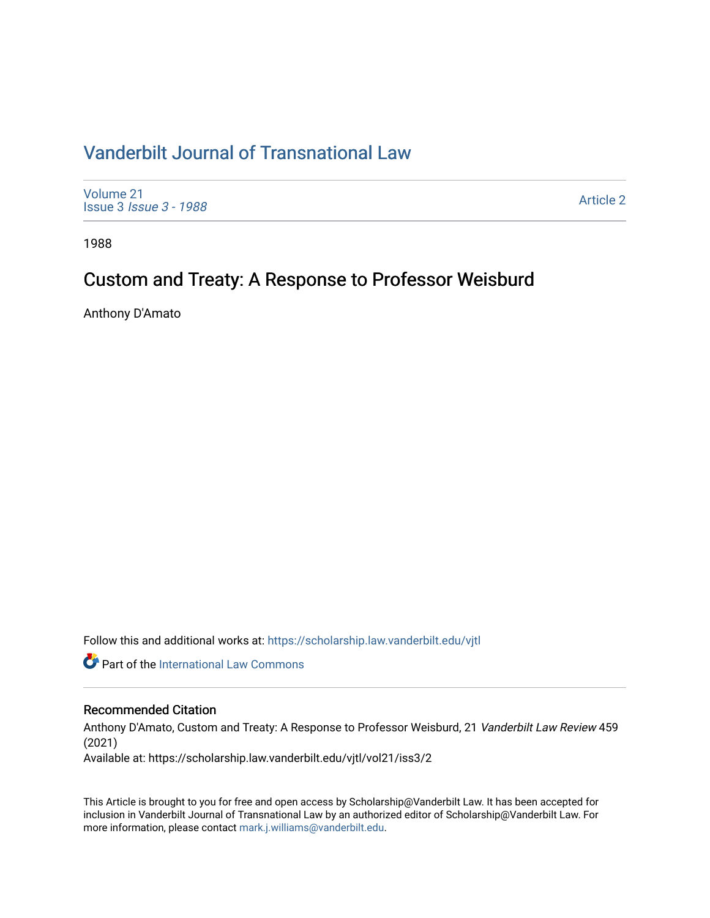## [Vanderbilt Journal of Transnational Law](https://scholarship.law.vanderbilt.edu/vjtl)

[Volume 21](https://scholarship.law.vanderbilt.edu/vjtl/vol21) Issue 3 [Issue 3 - 1988](https://scholarship.law.vanderbilt.edu/vjtl/vol21/iss3)

[Article 2](https://scholarship.law.vanderbilt.edu/vjtl/vol21/iss3/2) 

1988

# Custom and Treaty: A Response to Professor Weisburd

Anthony D'Amato

Follow this and additional works at: [https://scholarship.law.vanderbilt.edu/vjtl](https://scholarship.law.vanderbilt.edu/vjtl?utm_source=scholarship.law.vanderbilt.edu%2Fvjtl%2Fvol21%2Fiss3%2F2&utm_medium=PDF&utm_campaign=PDFCoverPages) 

**Part of the International Law Commons** 

### Recommended Citation

Anthony D'Amato, Custom and Treaty: A Response to Professor Weisburd, 21 Vanderbilt Law Review 459 (2021)

Available at: https://scholarship.law.vanderbilt.edu/vjtl/vol21/iss3/2

This Article is brought to you for free and open access by Scholarship@Vanderbilt Law. It has been accepted for inclusion in Vanderbilt Journal of Transnational Law by an authorized editor of Scholarship@Vanderbilt Law. For more information, please contact [mark.j.williams@vanderbilt.edu](mailto:mark.j.williams@vanderbilt.edu).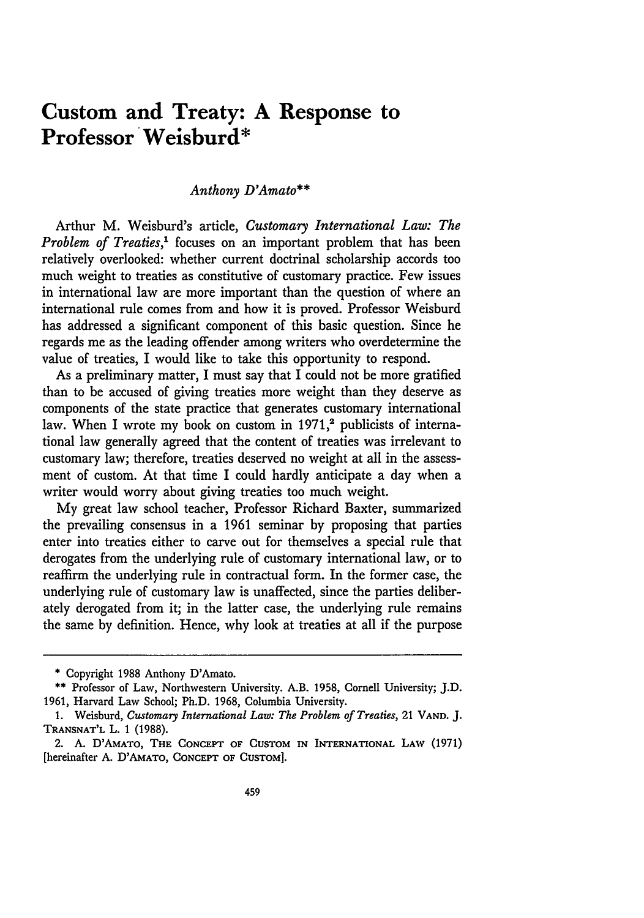## **Custom and Treaty: A Response to Professor Weisburd\***

#### *Anthony D'Amato\*\**

Arthur M. Weisburd's article, *Customary International Law: The Problem of Treaties*,<sup>1</sup> focuses on an important problem that has been relatively overlooked: whether current doctrinal scholarship accords too much weight to treaties as constitutive of customary practice. Few issues in international law are more important than the question of where an international rule comes from and how it is proved. Professor Weisburd has addressed a significant component of this basic question. Since he regards me as the leading offender among writers who overdetermine the value of treaties, I would like to take this opportunity to respond.

As a preliminary matter, I must say that I could not be more gratified than to be accused of giving treaties more weight than they deserve as components of the state practice that generates customary international law. When I wrote my book on custom in 1971,<sup>2</sup> publicists of international law generally agreed that the content of treaties was irrelevant to customary law; therefore, treaties deserved no weight at all in the assessment of custom. At that time I could hardly anticipate a day when a writer would worry about giving treaties too much weight.

**My** great law school teacher, Professor Richard Baxter, summarized the prevailing consensus in a **1961** seminar by proposing that parties enter into treaties either to carve out for themselves a special rule that derogates from the underlying rule of customary international law, or to reaffirm the underlying rule in contractual form. In the former case, the underlying rule of customary law is unaffected, since the parties deliberately derogated from it; in the latter case, the underlying rule remains the same **by** definition. Hence, why look at treaties at all if the purpose

**<sup>•</sup>** Copyright **1988** Anthony D'Amato.

**<sup>•\*</sup>** Professor of Law, Northwestern University. A.B. **1958,** Cornell University; **J.D. 1961,** Harvard Law School; Ph.D. **1968,** Columbia University.

**<sup>1.</sup>** Weisburd, *Customary International Law: The Problem of Treaties,* 21 **VAND. J. TRANSNAT'L** L. 1 (1988).

<sup>2.</sup> **A.** D'AMATO, THE **CONCEPT** OF CUSTOM **IN** INTERNATIONAL LAW (1971) [hereinafter **A.** D'AMATO, CONCEPT OF **CUSTOM].**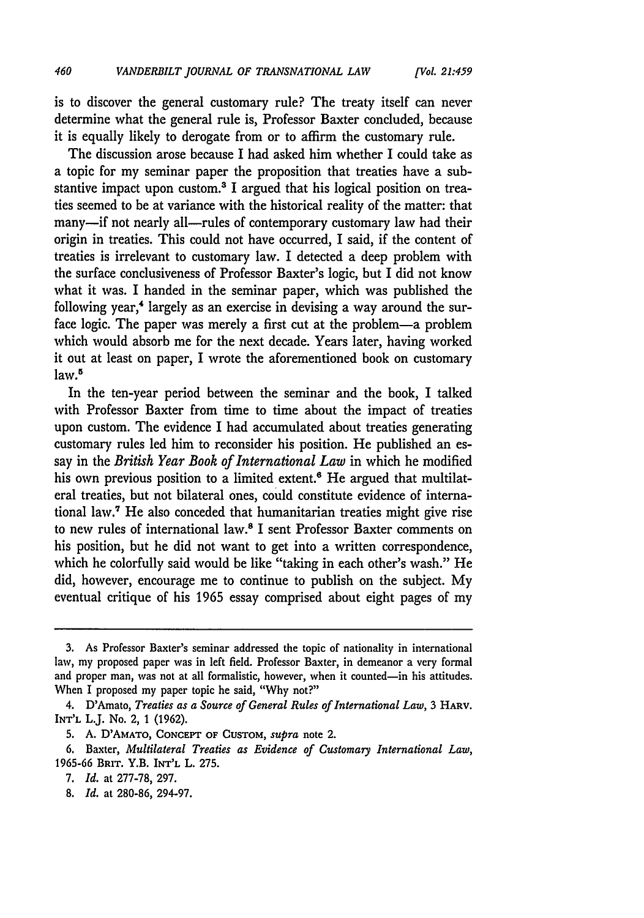is to discover the general customary rule? The treaty itself can never determine what the general rule is, Professor Baxter concluded, because it is equally likely to derogate from or to affirm the customary rule.

The discussion arose because I had asked him whether I could take as a topic for my seminar paper the proposition that treaties have a substantive impact upon custom.<sup>3</sup> I argued that his logical position on treaties seemed to be at variance with the historical reality of the matter: that many-if not nearly all-rules of contemporary customary law had their origin in treaties. This could not have occurred, I said, if the content of treaties is irrelevant to customary law. I detected a deep problem with the surface conclusiveness of Professor Baxter's logic, but I did not know what it was. I handed in the seminar paper, which was published the following year,<sup>4</sup> largely as an exercise in devising a way around the surface logic. The paper was merely a first cut at the problem-a problem which would absorb me for the next decade. Years later, having worked it out at least on paper, I wrote the aforementioned book on customary law.<sup>5</sup>

In the ten-year period between the seminar and the book, I talked with Professor Baxter from time to time about the impact of treaties upon custom. The evidence I had accumulated about treaties generating customary rules led him to reconsider his position. He published an essay in the *British Year Book of International Law* in which he modified his own previous position to a limited extent.<sup>6</sup> He argued that multilateral treaties, but not bilateral ones, could constitute evidence of international law." He also conceded that humanitarian treaties might give rise to new rules of international law.8 I sent Professor Baxter comments on his position, but he did not want to get into a written correspondence, which he colorfully said would be like "taking in each other's wash." He did, however, encourage me to continue to publish on the subject. My eventual critique of his 1965 essay comprised about eight pages of my

**<sup>3.</sup>** As Professor Baxter's seminar addressed the topic of nationality in international law, my proposed paper was in left field. Professor Baxter, in demeanor a very formal and proper man, was not at all formalistic, however, when it counted-in his attitudes. When I proposed my paper topic he said, "Why not?"

<sup>4.</sup> D'Amato, *Treaties as a Source of General Rules of International Law,* 3 HARv. **INT'L** L.J. No. 2, 1 (1962).

**<sup>5.</sup> A.** D'AMATO, **CONCEPT** OF CUSTOM, *supra* note 2.

**<sup>6.</sup>** Baxter, *Multilateral Treaties as Evidence of Customary International Law,* 1965-66 BRIT. Y.B. INT'L L. **275.**

**<sup>7.</sup>** *Id.* at 277-78, 297.

**<sup>8.</sup>** *Id.* at 280-86, 294-97.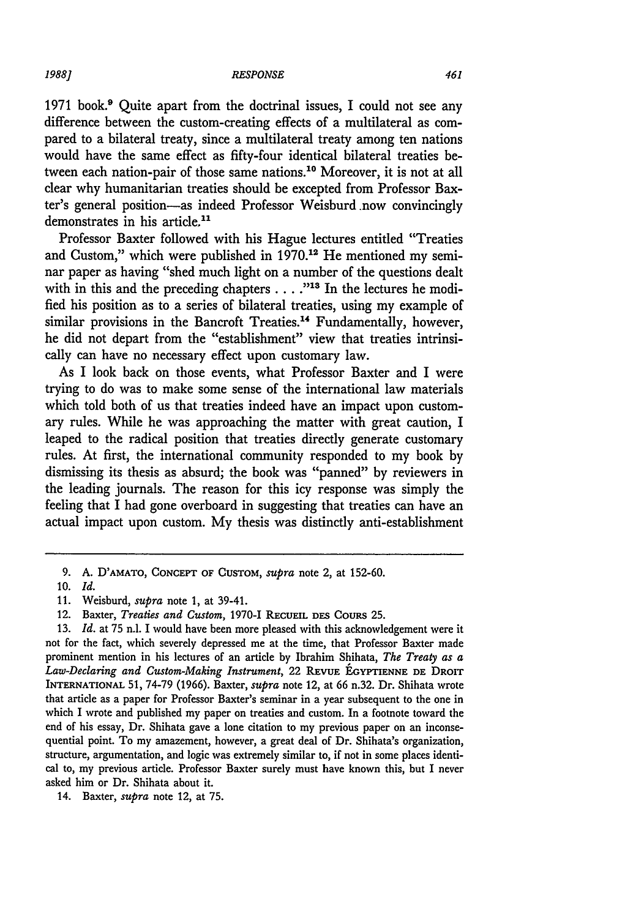*RESPONSE*

1971 book.9 Quite apart from the doctrinal issues, I could not see any difference between the custom-creating effects of a multilateral as compared to a bilateral treaty, since a multilateral treaty among ten nations would have the same effect as fifty-four identical bilateral treaties between each nation-pair of those same nations.10 Moreover, it is not at all clear why humanitarian treaties should be excepted from Professor Baxter's general position-as indeed Professor Weisburd .now convincingly demonstrates in his article.<sup>11</sup>

Professor Baxter followed with his Hague lectures entitled "Treaties and Custom," which were published in  $1970$ .<sup>12</sup> He mentioned my seminar paper as having "shed much light on a number of the questions dealt with in this and the preceding chapters . . . . "<sup>13</sup> In the lectures he modified his position as to a series of bilateral treaties, using my example of similar provisions in the Bancroft Treaties.<sup>14</sup> Fundamentally, however, he did not depart from the "establishment" view that treaties intrinsically can have no necessary effect upon customary law.

As I look back on those events, what Professor Baxter and I were trying to do was to make some sense of the international law materials which told both of us that treaties indeed have an impact upon customary rules. While he was approaching the matter with great caution, I leaped to the radical position that treaties directly generate customary rules. At first, the international community responded to my book by dismissing its thesis as absurd; the book was "panned" by reviewers in the leading journals. The reason for this icy response was simply the feeling that I had gone overboard in suggesting that treaties can have an actual impact upon custom. My thesis was distinctly anti-establishment

*1988]*

**<sup>9.</sup> A. D'AMATO, CONCEPT** OF CUSTOM, *supra* note 2, at 152-60.

**<sup>10.</sup>** *Id.*

**<sup>11.</sup>** Weisburd, *supra* note 1, at 39-41.

<sup>12.</sup> Baxter, *Treaties and Custom,* 1970-1 **RECUEIL DES** COURS **25.**

**<sup>13.</sup>** *Id.* at **75** n.l. I would have been more pleased with this acknowledgement were it not for the fact, which severely depressed me at the time, that Professor Baxter made prominent mention in his lectures of an article by Ibrahim Shihata, *The Treaty as a Law-Declaring and Custom-Making Instrument,* 22 **REVUE EGYPTIENNE DE DROIT** INTERNATIONAL 51, 74-79 (1966). Baxter, *supra* note 12, at 66 n.32. Dr. Shihata wrote that article as a paper for Professor Baxter's seminar in a year subsequent to the one in which I wrote and published my paper on treaties and custom. In a footnote toward the end of his essay, Dr. Shihata gave a lone citation to my previous paper on an inconsequential point. To my amazement, however, a great deal of Dr. Shihata's organization, structure, argumentation, and logic was extremely similar to, if not in some places identical to, my previous article. Professor Baxter surely must have known this, but I never asked him or Dr. Shihata about it.

<sup>14.</sup> Baxter, *supra* note 12, at 75.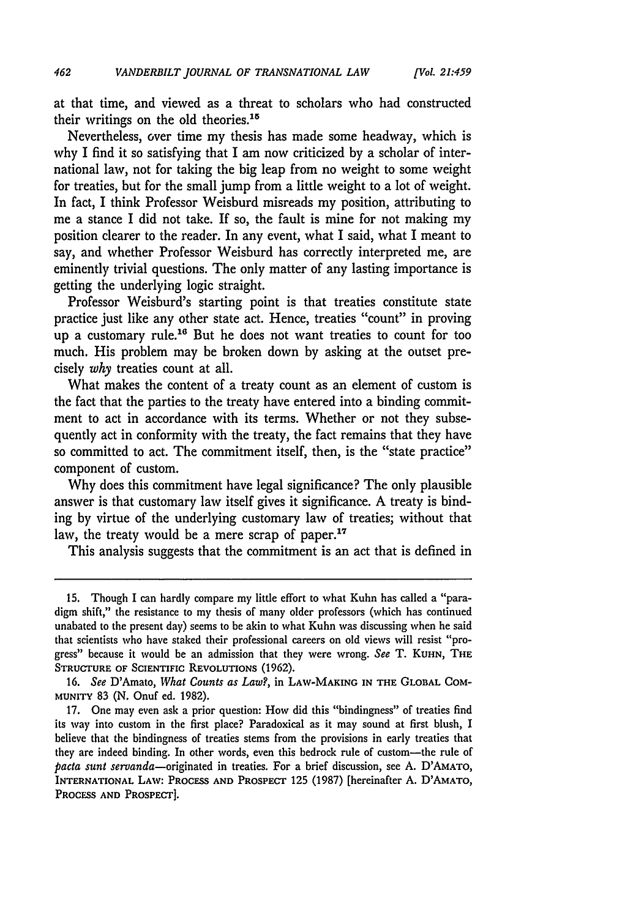at that time, and viewed as a threat to scholars who had constructed their writings on the old theories.<sup>15</sup>

Nevertheless, over time my thesis has made some headway, which is why I find it so satisfying that I am now criticized by a scholar of international law, not for taking the big leap from no weight to some weight for treaties, but for the small jump from a little weight to a lot of weight. In fact, I think Professor Weisburd misreads my position, attributing to me a stance I did not take. If so, the fault is mine for not making my position clearer to the reader. In any event, what I said, what I meant to say, and whether Professor Weisburd has correctly interpreted me, are eminently trivial questions. The only matter of any lasting importance is getting the underlying logic straight.

Professor Weisburd's starting point is that treaties constitute state practice just like any other state act. Hence, treaties "count" in proving up a customary rule.<sup>16</sup> But he does not want treaties to count for too much. His problem may be broken down by asking at the outset precisely *why* treaties count at all.

What makes the content of a treaty count as an element of custom is the fact that the parties to the treaty have entered into a binding commitment to act in accordance with its terms. Whether or not they subsequently act in conformity with the treaty, the fact remains that they have so committed to act. The commitment itself, then, is the "state practice" component of custom.

Why does this commitment have legal significance? The only plausible answer is that customary law itself gives it significance. A treaty is binding by virtue of the underlying customary law of treaties; without that law, the treaty would be a mere scrap of paper.<sup>17</sup>

This analysis suggests that the commitment is an act that is defined in

<sup>15.</sup> Though I can hardly compare my little effort to what Kuhn has called a "paradigm shift," the resistance to my thesis of many older professors (which has continued unabated to the present day) seems to be akin to what Kuhn was discussing when he said that scientists who have staked their professional careers on old views will resist "progress" because it would be an admission that they were wrong. *See* T. **KUHN,** THE **STRUCTURE OF SCIENTIFIC REVOLUTIONS** (1962).

<sup>16.</sup> See D'Amato, *What Counts as Law?,* in LAW-MAKING **IN THE** GLOBAL **COM-MUNITY** 83 (N. Onuf ed. 1982).

<sup>17.</sup> One may even ask a prior question: **How** did this "bindingness" of treaties find its way into custom in the first place? Paradoxical as it may sound at first blush, I believe that the bindingness of treaties stems from the provisions in early treaties that they are indeed binding. In other words, even this bedrock rule of custom—the rule of *pacta sunt* servanda-originated in treaties. For a brief discussion, see A. D'AMATo, **INTERNATIONAL** LAW: **PROCESS AND PROSPECT** 125 (1987) [hereinafter **A. D'AMATO, PROCESS AND PROSPECT].**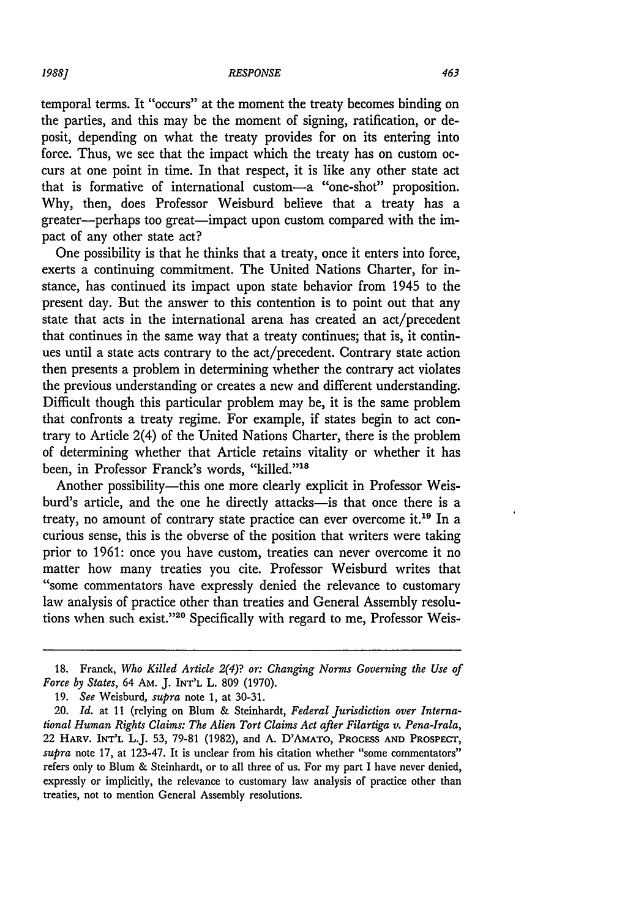temporal terms. It "occurs" at the moment the treaty becomes binding on the parties, and this may be the moment of signing, ratification, or deposit, depending on what the treaty provides for on its entering into force. Thus, we see that the impact which the treaty has on custom occurs at one point in time. In that respect, it is like any other state act that is formative of international custom-a "one-shot" proposition. Why, then, does Professor Weisburd believe that a treaty has a greater--perhaps too great-impact upon custom compared with the impact of any other state act?

One possibility is that he thinks that a treaty, once it enters into force, exerts a continuing commitment. The United Nations Charter, for instance, has continued its impact upon state behavior from 1945 to the present day. But the answer to this contention is to point out that any state that acts in the international arena has created an act/precedent that continues in the same way that a treaty continues; that is, it continues until a state acts contrary to the act/precedent. Contrary state action then presents a problem in determining whether the contrary act violates the previous understanding or creates a new and different understanding. Difficult though this particular problem may be, it is the same problem that confronts a treaty regime. For example, if states begin to act contrary to Article 2(4) of the United Nations Charter, there is the problem of determining whether that Article retains vitality or whether it has been, in Professor Franck's words, "killed."<sup>18</sup>

Another possibility-this one more clearly explicit in Professor Weisburd's article, and the one he directly attacks-is that once there is a treaty, no amount of contrary state practice can ever overcome it.19 In a curious sense, this is the obverse of the position that writers were taking prior to 1961: once you have custom, treaties can never overcome it no matter how many treaties you cite. Professor Weisburd writes that "some commentators have expressly denied the relevance to customary law analysis of practice other than treaties and General Assembly resolutions when such exist."20 Specifically with regard to me, Professor Weis-

<sup>18.</sup> Franck, *Who Killed Article 2(4)? or: Changing Norms Governing the Use of Force by States,* 64 AM. J. INT'L L. 809 (1970).

<sup>19.</sup> *See* Weisburd, *supra* note 1, at 30-31.

<sup>20.</sup> *Id.* at 11 (relying on Blum & Steinhardt, *Federal Jurisdiction over International Human Rights Claims: The Alien Tort Claims Act after Filartiga v. Pena-Irala,* 22 HARV. INT'L L.J. 53, 79-81 (1982), and A. D'AMATO, **PROCESS AND** PROSPECT, *supra* note **17,** at 123-47. It is unclear from his citation whether "some commentators" refers only to Blum & Steinhardt, or to all three of us. For my part I have never denied, expressly or implicitly, the relevance to customary law analysis of practice other than treaties, not to mention General Assembly resolutions.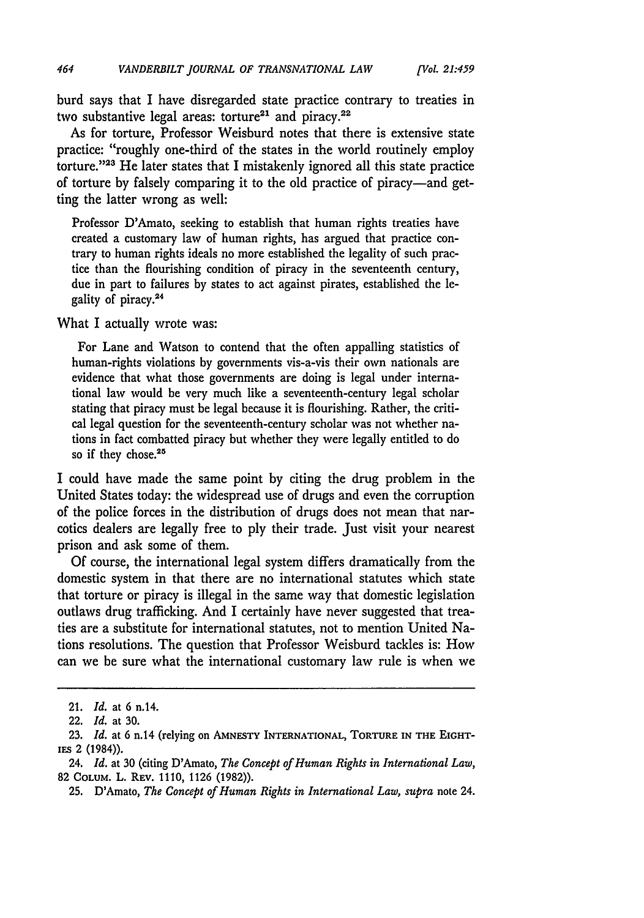*[Vol 21:459*

burd says that I have disregarded state practice contrary to treaties in two substantive legal areas: torture<sup>21</sup> and piracy.<sup>22</sup>

As for torture, Professor Weisburd notes that there is extensive state practice: "roughly one-third of the states in the world routinely employ torture."<sup>23</sup> He later states that I mistakenly ignored all this state practice of torture by falsely comparing it to the old practice of piracy-and getting the latter wrong as well:

Professor D'Amato, seeking to establish that human rights treaties have created a customary law of human rights, has argued that practice contrary to human rights ideals no more established the legality of such practice than the flourishing condition of piracy in the seventeenth century, due in part to failures by states to act against pirates, established the legality of piracy.24

What I actually wrote was:

For Lane and Watson to contend that the often appalling statistics of human-rights violations by governments vis-a-vis their own nationals are evidence that what those governments are doing is legal under international law would be very much like a seventeenth-century legal scholar stating that piracy must be legal because it is flourishing. Rather, the critical legal question for the seventeenth-century scholar was not whether nations in fact combatted piracy but whether they were legally entitled to do so if they chose.<sup>25</sup>

I could have made the same point by citing the drug problem in the United States today: the widespread use of drugs and even the corruption of the police forces in the distribution of drugs does not mean that narcotics dealers are legally free to ply their trade. Just visit your nearest prison and ask some of them.

Of course, the international legal system differs dramatically from the domestic system in that there are no international statutes which state that torture or piracy is illegal in the same way that domestic legislation outlaws drug trafficking. And I certainly have never suggested that treaties are a substitute for international statutes, not to mention United Nations resolutions. The question that Professor Weisburd tackles is: How can we be sure what the international customary law rule is when we

<sup>21.</sup> *Id.* at 6 n.14.

<sup>22.</sup> *Id.* at 30.

**<sup>23.</sup>** *Id.* at 6 n.14 (relying on **AMNESTY** INTERNATIONAL, TORTURE **IN THE** EIGHTiEs 2 (1984)).

<sup>24.</sup> *Id.* at 30 (citing D'Amato, *The Concept of Human Rights in International Law,* 82 COLUM. L. REv. 1110, 1126 (1982)).

<sup>25.</sup> D'Amato, *The Concept of Human Rights in International Law, supra* note 24.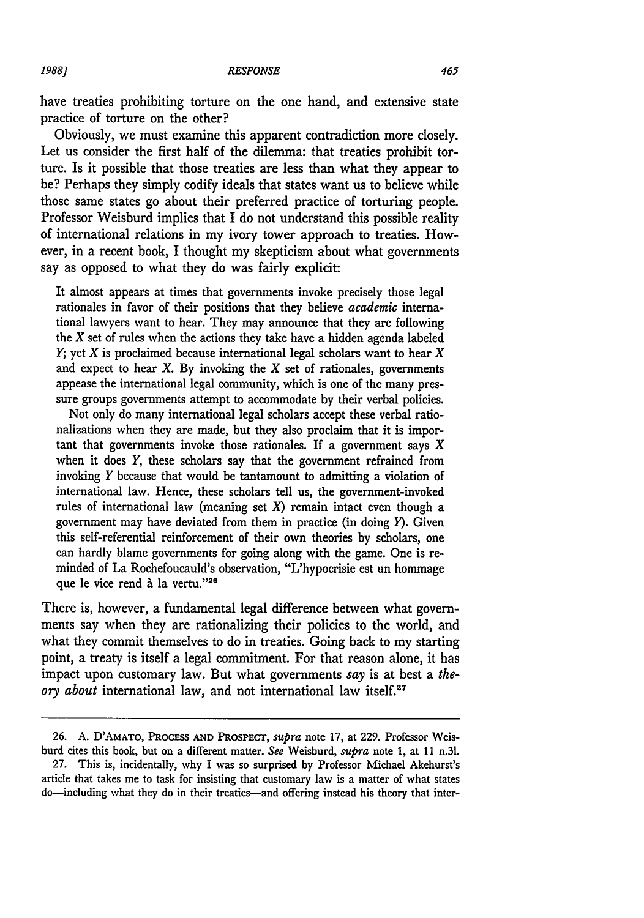have treaties prohibiting torture on the one hand, and extensive state practice of torture on the other?

Obviously, we must examine this apparent contradiction more closely. Let us consider the first half of the dilemma: that treaties prohibit torture. Is it possible that those treaties are less than what they appear to **be?** Perhaps they simply codify ideals that states want us to believe while those same states go about their preferred practice of torturing people. Professor Weisburd implies that I do not understand this possible reality of international relations in my ivory tower approach to treaties. However, in a recent book, I thought my skepticism about what governments say as opposed to what they do was fairly explicit:

It almost appears at times that governments invoke precisely those legal rationales in favor of their positions that they believe *academic* international lawyers want to hear. They may announce that they are following the  $X$  set of rules when the actions they take have a hidden agenda labeled *Y;* yet X is proclaimed because international legal scholars want to hear X and expect to hear X. **By** invoking the X set of rationales, governments appease the international legal community, which is one of the many pressure groups governments attempt to accommodate **by** their verbal policies.

Not only do many international legal scholars accept these verbal rationalizations when they are made, but they also proclaim that it is important that governments invoke those rationales. If a government says *X* when it does *Y,* these scholars say that the government refrained from invoking *Y* because that would be tantamount to admitting a violation of international law. Hence, these scholars tell us, the government-invoked rules of international law (meaning set *X)* remain intact even though a government may have deviated from them in practice (in doing  $Y$ ). Given this self-referential reinforcement of their own theories **by** scholars, one can hardly blame governments for going along with the game. One is reminded of La Rochefoucauld's observation, "L'hypocrisie est un hommage que le vice rend à la vertu."<sup>26</sup>

There is, however, a fundamental legal difference between what governments say when they are rationalizing their policies to the world, and what they commit themselves to do in treaties. Going back to my starting point, a treaty is itself a legal commitment. For that reason alone, it has impact upon customary law. But what governments *say* is at best a *theory about* international law, and not international law itself.<sup>27</sup>

*1988.]*

**<sup>26.</sup> A.** D'AMATO, PROCESS AND **PRosPECT,** *supra* note **17,** at **229.** Professor Weisburd cites this book, but on a different matter. *See* Weisburd, *supra* note 1, at 11 n.31.

<sup>27.</sup> This is, incidentally, why I was so surprised by Professor Michael Akehurst's article that takes me to task for insisting that customary law is a matter of what states do-including what they do in their treaties-and offering instead his theory that inter-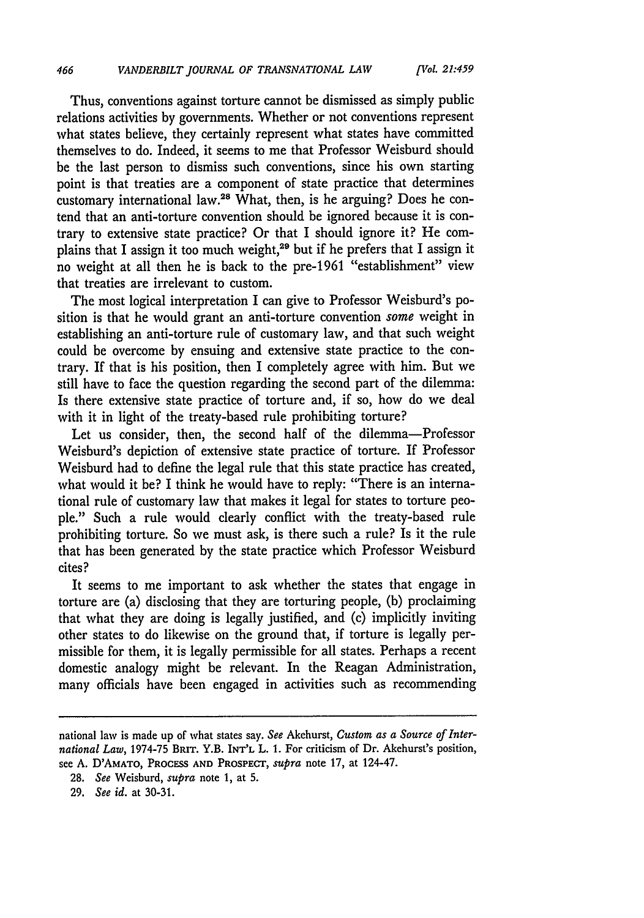*[Irol. 21:459*

Thus, conventions against torture cannot be dismissed as simply public relations activities by governments. Whether or not conventions represent what states believe, they certainly represent what states have committed themselves to do. Indeed, it seems to me that Professor Weisburd should be the last person to dismiss such conventions, since his own starting point is that treaties are a component of state practice that determines customary international law.<sup>28</sup> What, then, is he arguing? Does he contend that an anti-torture convention should be ignored because it is contrary to extensive state practice? Or that I should ignore it? He complains that I assign it too much weight,29 but if he prefers that I assign it no weight at all then he is back to the pre-1961 "establishment" view that treaties are irrelevant to custom.

The most logical interpretation I can give to Professor Weisburd's position is that he would grant an anti-torture convention *some* weight in establishing an anti-torture rule of customary law, and that such weight could be overcome by ensuing and extensive state practice to the contrary. If that is his position, then I completely agree with him. But we still have to face the question regarding the second part of the dilemma: Is there extensive state practice of torture and, if so, how do we deal with it in light of the treaty-based rule prohibiting torture?

Let us consider, then, the second half of the dilemma-Professor Weisburd's depiction of extensive state practice of torture. If Professor Weisburd had to define the legal rule that this state practice has created, what would it be? I think he would have to reply: "There is an international rule of customary law that makes it legal for states to torture people." Such a rule would clearly conflict with the treaty-based rule prohibiting torture. So we must ask, is there such a rule? Is it the rule that has been generated by the state practice which Professor Weisburd cites?

It seems to me important to ask whether the states that engage in torture are (a) disclosing that they are torturing people, (b) proclaiming that what they are doing is legally justified, and (c) implicitly inviting other states to do likewise on the ground that, if torture is legally permissible for them, it is legally permissible for all states. Perhaps a recent domestic analogy might be relevant. In the Reagan Administration, many officials have been engaged in activities such as recommending

national law is made up of what states say. *See* Akehurst, *Custom as a Source of International Law,* 1974-75 BRIT. Y.B. INT'L L. **1.** For criticism of Dr. Akehurst's position, see **A.** D'AMATO, PROCESS **AND** PROSPECT, *supra* note **17,** at 124-47.

**<sup>28.</sup>** *See* Weisburd, *supra* note 1, at **5.**

**<sup>29.</sup>** *See id.* at **30-31.**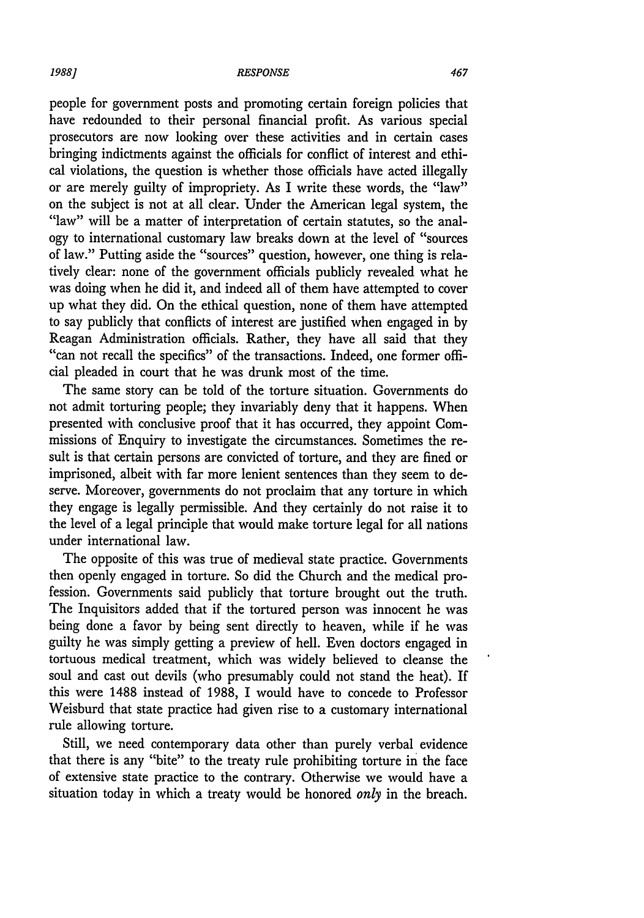#### *RESPONSE*

people for government posts and promoting certain foreign policies that have redounded to their personal financial profit. As various special prosecutors are now looking over these activities and in certain cases bringing indictments against the officials for conflict of interest and ethical violations, the question is whether those officials have acted illegally or are merely guilty of impropriety. As I write these words, the "law" on the subject is not at all clear. Under the American legal system, the "law" will be a matter of interpretation of certain statutes, so the analogy to international customary law breaks down at the level of "sources of law." Putting aside the "sources" question, however, one thing is relatively clear: none of the government officials publicly revealed what he was doing when he did it, and indeed all of them have attempted to cover up what they did. On the ethical question, none of them have attempted to say publicly that conflicts of interest are justified when engaged in by Reagan Administration officials. Rather, they have all said that they "can not recall the specifics" of the transactions. Indeed, one former official pleaded in court that he was drunk most of the time.

The same story can be told of the torture situation. Governments do not admit torturing people; they invariably deny that it happens. When presented with conclusive proof that it has occurred, they appoint Commissions of Enquiry to investigate the circumstances. Sometimes the result is that certain persons are convicted of torture, and they are fined or imprisoned, albeit with far more lenient sentences than they seem to deserve. Moreover, governments do not proclaim that any torture in which they engage is legally permissible. And they certainly do not raise it to the level of a legal principle that would make torture legal for all nations under international law.

The opposite of this was true of medieval state practice. Governments then openly engaged in torture. So did the Church and the medical profession. Governments said publicly that torture brought out the truth. The Inquisitors added that if the tortured person was innocent he was being done a favor by being sent directly to heaven, while if he was guilty he was simply getting a preview of hell. Even doctors engaged in tortuous medical treatment, which was widely believed to cleanse the soul and cast out devils (who presumably could not stand the heat). If this were 1488 instead of 1988, I would have to concede to Professor Weisburd that state practice had given rise to a customary international rule allowing torture.

Still, we need contemporary data other than purely verbal evidence that there is any "bite" to the treaty rule prohibiting torture in the face of extensive state practice to the contrary. Otherwise we would have a situation today in which a treaty would be honored *only* in the breach.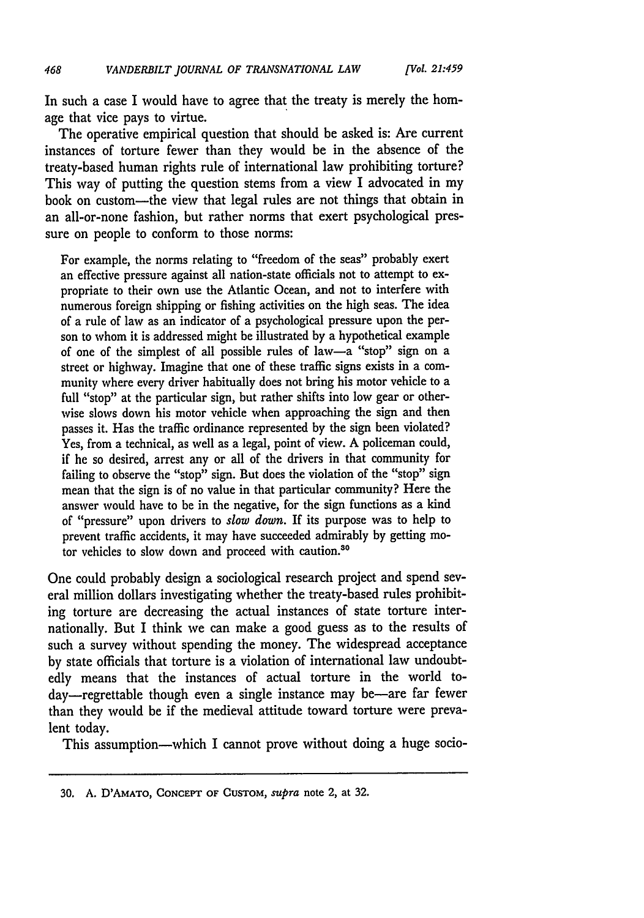In such a case I would have to agree that the treaty is merely the homage that vice pays to virtue.

The operative empirical question that should be asked is: Are current instances of torture fewer than they would be in the absence of the treaty-based human rights rule of international law prohibiting torture? This way of putting the question stems from a view I advocated in my book on custom-the view that legal rules are not things that obtain in an all-or-none fashion, but rather norms that exert psychological pressure on people to conform to those norms:

For example, the norms relating to "freedom of the seas" probably exert an effective pressure against all nation-state officials not to attempt to expropriate to their own use the Atlantic Ocean, and not to interfere with numerous foreign shipping or fishing activities on the high seas. The idea of a rule of law as an indicator of a psychological pressure upon the person to whom it is addressed might be illustrated by a hypothetical example of one of the simplest of all possible rules of law-a "stop" sign on a street or highway. Imagine that one of these traffic signs exists in a community where every driver habitually does not bring his motor vehicle to a full "stop" at the particular sign, but rather shifts into low gear or otherwise slows down his motor vehicle when approaching the sign and then passes it. Has the traffic ordinance represented by the sign been violated? Yes, from a technical, as well as a legal, point of view. A policeman could, if he so desired, arrest any or all of the drivers in that community for failing to observe the "stop" sign. But does the violation of the "stop" sign mean that the sign is of no value in that particular community? Here the answer would have to be in the negative, for the sign functions as a kind of "pressure" upon drivers to *slow down.* If its purpose was to help to prevent traffic accidents, it may have succeeded admirably by getting motor vehicles to slow down and proceed with caution.<sup>30</sup>

One could probably design a sociological research project and spend several million dollars investigating whether the treaty-based rules prohibiting torture are decreasing the actual instances of state torture internationally. But I think we can make a good guess as to the results of such a survey without spending the money. The widespread acceptance by state officials that torture is a violation of international law undoubtedly means that the instances of actual torture in the world today-regrettable though even a single instance may be-are far fewer than they would be if the medieval attitude toward torture were prevalent today.

This assumption—which I cannot prove without doing a huge socio-

**<sup>30.</sup> A.** D'AMATO, CONCEPT **OF** CUSTOM, supra note 2, at **32.**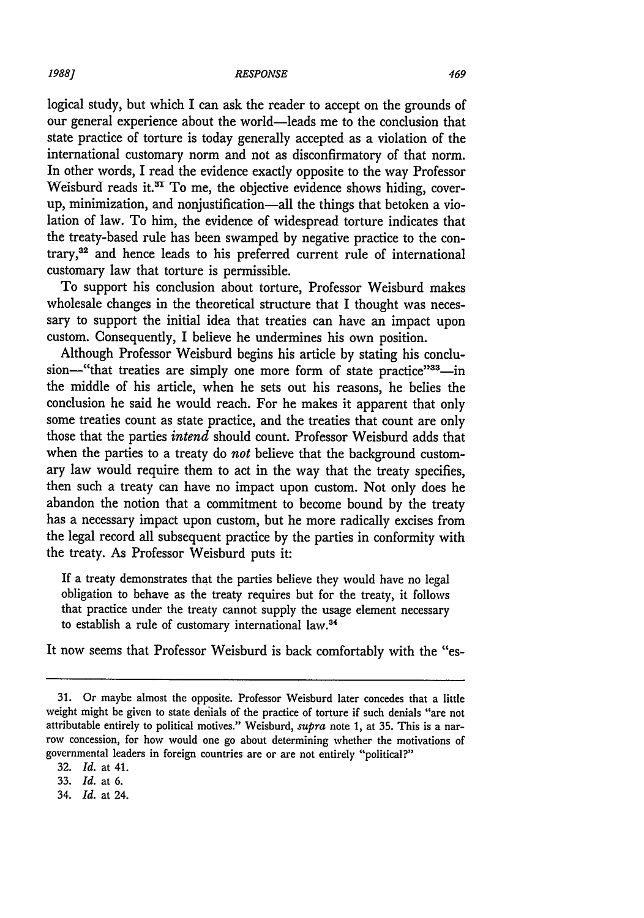logical study, but which I can ask the reader to accept on the grounds of our general experience about the world-leads me to the conclusion that state practice of torture is today generally accepted as a violation of the international customary norm and not as disconfirmatory of that norm. In other words, I read the evidence exactly opposite to the way Professor Weisburd reads it.<sup>31</sup> To me, the objective evidence shows hiding, coverup, minimization, and nonjustification-all the things that betoken a violation of law. To him, the evidence of widespread torture indicates that the treaty-based rule has been swamped by negative practice to the contrary,<sup>32</sup> and hence leads to his preferred current rule of international customary law that torture is permissible.

To support his conclusion about torture, Professor Weisburd makes wholesale changes in the theoretical structure that I thought was necessary to support the initial idea that treaties can have an impact upon custom. Consequently, I believe he undermines his own position.

Although Professor Weisburd begins his article by stating his conclusion-"that treaties are simply one more form of state practice"33-in the middle of his article, when he sets out his reasons, he belies the conclusion he said he would reach. For he makes it apparent that only some treaties count as state practice, and the treaties that count are only those that the parties *intend* should count. Professor Weisburd adds that when the parties to a treaty do *not* believe that the background customary law would require them to act in the way that the treaty specifies, then such a treaty can have no impact upon custom. Not only does he abandon the notion that a commitment to become bound **by** the treaty has a necessary impact upon custom, but he more radically excises from the legal record all subsequent practice **by** the parties in conformity with the treaty. As Professor Weisburd puts it:

If a treaty demonstrates that the parties believe they would have no legal obligation to behave as the treaty requires but for the treaty, it follows that practice under the treaty cannot supply the usage element necessary to establish a rule of customary international law.<sup>34</sup>

It now seems that Professor Weisburd is back comfortably with the "es-

34. *Id.* at 24.

**<sup>31.</sup>** Or maybe almost the opposite. Professor Weisburd later concedes that a little weight might be given to state denials of the practice of torture if such denials "are not attributable entirely to political motives." Weisburd, *supra* note **1,** at **35.** This is a narrow concession, for how would one go about determining whether the motivations of governmental leaders in foreign countries are or are not entirely "political?"

**<sup>32.</sup>** *Id.* at 41.

**<sup>33.</sup>** *Id.* at **6.**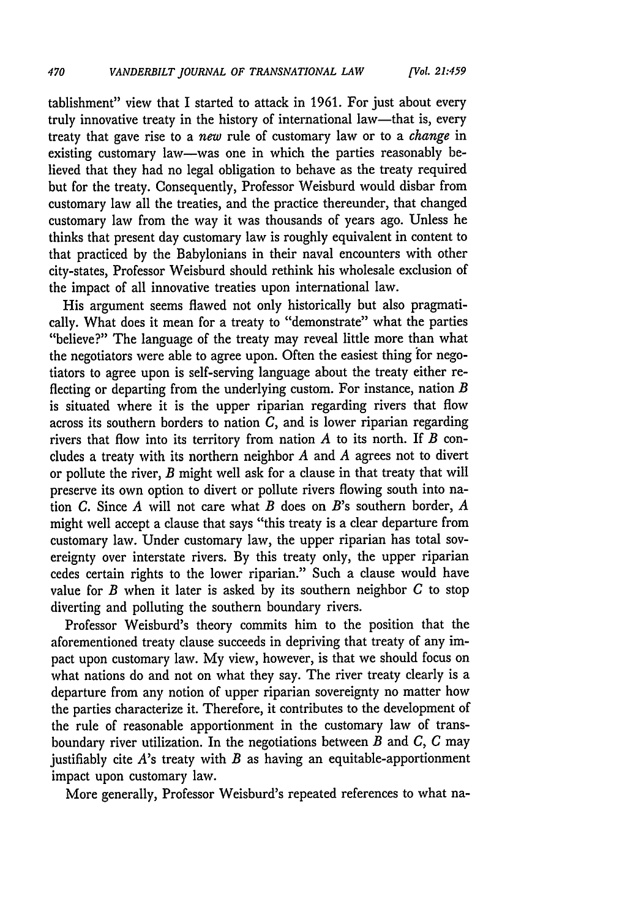tablishment" view that I started to attack in 1961. For just about every truly innovative treaty in the history of international law-that is, every treaty that gave rise to a *new* rule of customary law or to a *change* in existing customary law-was one in which the parties reasonably believed that they had no legal obligation to behave as the treaty required but for the treaty. Consequently, Professor Weisburd would disbar from customary law all the treaties, and the practice thereunder, that changed customary law from the way it was thousands of years ago. Unless he thinks that present day customary law is roughly equivalent in content to that practiced by the Babylonians in their naval encounters with other city-states, Professor Weisburd should rethink his wholesale exclusion of the impact of all innovative treaties upon international law.

His argument seems flawed not only historically but also pragmatically. What does it mean for a treaty to "demonstrate" what the parties "believe?" The language of the treaty may reveal little more than what the negotiators were able to agree upon. Often the easiest thing for negotiators to agree upon is self-serving language about the treaty either reflecting or departing from the underlying custom. For instance, nation *B* is situated where it is the upper riparian regarding rivers that flow across its southern borders to nation *C,* and is lower riparian regarding rivers that flow into its territory from nation *A* to its north. If *B* concludes a treaty with its northern neighbor *A* and *A* agrees not to divert or pollute the river, *B* might well ask for a clause in that treaty that will preserve its own option to divert or pollute rivers flowing south into nation *C.* Since *A* will not care what *B* does on *B's* southern border, *A* might well accept a clause that says "this treaty is a clear departure from customary law. Under customary law, the upper riparian has total sovereignty over interstate rivers. By this treaty only, the upper riparian cedes certain rights to the lower riparian." Such a clause would have value for *B* when it later is asked by its southern neighbor *C* to stop diverting and polluting the southern boundary rivers.

Professor Weisburd's theory commits him to the position that the aforementioned treaty clause succeeds in depriving that treaty of any impact upon customary law. My view, however, is that we should focus on what nations do and not on what they say. The river treaty clearly is a departure from any notion of upper riparian sovereignty no matter how the parties characterize it. Therefore, it contributes to the development of the rule of reasonable apportionment in the customary law of transboundary river utilization. In the negotiations between *B* and *C, C* may justifiably cite A's treaty with *B* as having an equitable-apportionment impact upon customary law.

More generally, Professor Weisburd's repeated references to what na-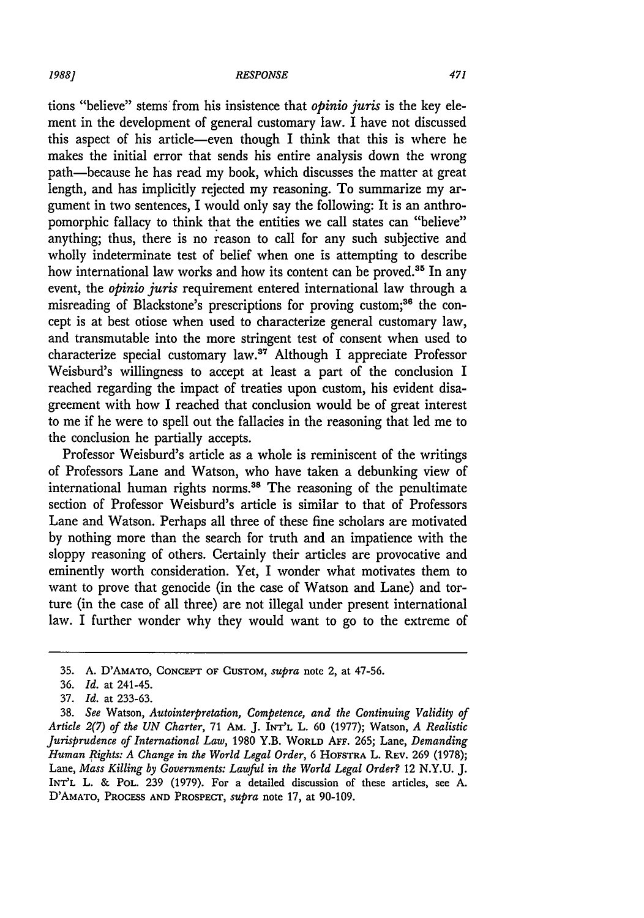#### *RESPONSE*

tions "believe" stems from his insistence that *opinio juris* is the key element in the development of general customary law. I have not discussed this aspect of his article-even though I think that this is where he makes the initial error that sends his entire analysis down the wrong path-because he has read my book, which discusses the matter at great length, and has implicitly rejected my reasoning. To summarize my argument in two sentences, I would only say the following: It is an anthropomorphic fallacy to think that the entities we call states can "believe" anything; thus, there is no reason to call for any such subjective and wholly indeterminate test of belief when one is attempting to describe how international law works and how its content can be proved.<sup>35</sup> In any event, the *opinio juris* requirement entered international law through a misreading of Blackstone's prescriptions for proving custom;<sup>36</sup> the concept is at best otiose when used to characterize general customary law, and transmutable into the more stringent test of consent when used to characterize special customary law.<sup>37</sup> Although I appreciate Professor Weisburd's willingness to accept at least a part of the conclusion I reached regarding the impact of treaties upon custom, his evident disagreement with how I reached that conclusion would be of great interest to me if he were to spell out the fallacies in the reasoning that led me to the conclusion he partially accepts.

Professor Weisburd's article as a whole is reminiscent of the writings of Professors Lane and Watson, who have taken a debunking view of international human rights norms.<sup>38</sup> The reasoning of the penultimate section of Professor Weisburd's article is similar to that of Professors Lane and Watson. Perhaps all three of these fine scholars are motivated by nothing more than the search for truth and an impatience with the sloppy reasoning of others. Certainly their articles are provocative and eminently worth consideration. Yet, I wonder what motivates them to want to prove that genocide (in the case of Watson and Lane) and torture (in the case of all three) are not illegal under present international law. I further wonder why they would want to go to the extreme of

<sup>35.</sup> A. D'AMATO, **CONCEPT** OF CUSTOM, *supra* note 2, at 47-56.

<sup>36.</sup> *Id.* at 241-45.

<sup>37.</sup> *Id.* at 233-63.

<sup>38.</sup> *See* Watson, *Autointerpretation, Competence, and the Continuing Validity of Article 2(7) of the UN Charter,* 71 **AM. J.** INT'L L. 60 (1977); Watson, *A Realistic Jurisprudence of International Law,* 1980 Y.B. WORLD AFF. 265; Lane, *Demanding Human Rights: A Change in the World Legal Order,* 6 HOFSTRA L. REv. 269 (1978); Lane, *Mass Killing by Governments: Lawful in the World Legal Order?* 12 N.Y.U. J. INT'L L. & POL. 239 (1979). For a detailed discussion of these articles, see A. D'AMATO, **PROCESS AND** PROSPECT, *supra* note 17, at 90-109.